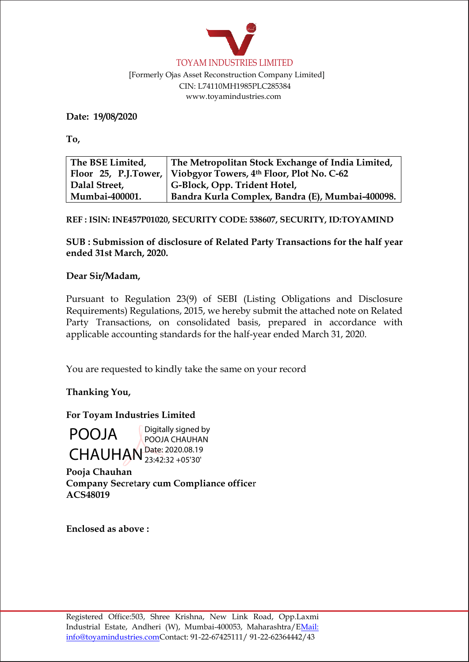

 [Formerly Ojas Asset Reconstruction Company Limited] CIN: L74110MH1985PLC285384 [www.toyamindustries.com](http://www.toyamindustries.com/)

**Date: 19/08/2020**

**To,**

| The BSE Limited, | The Metropolitan Stock Exchange of India Limited,                |  |
|------------------|------------------------------------------------------------------|--|
|                  | Floor 25, P.J.Tower,   Viobgyor Towers, 4th Floor, Plot No. C-62 |  |
| Dalal Street,    | G-Block, Opp. Trident Hotel,                                     |  |
| Mumbai-400001.   | Bandra Kurla Complex, Bandra (E), Mumbai-400098.                 |  |

**REF : ISlN: INE457P01020, SECURITY CODE: 538607, SECURITY, ID:TOYAMIND**

**SUB : Submission of disclosure of Related Party Transactions for the half year ended 31st March, 2020.** 

## **Dear Sir/Madam,**

Pursuant to Regulation 23(9) of SEBI (Listing Obligations and Disclosure Requirements) Regulations, 2015, we hereby submit the attached note on Related Party Transactions, on consolidated basis, prepared in accordance with applicable accounting standards for the half-year ended March 31, 2020.

You are requested to kindly take the same on your record

**Thanking You,**

**For Toyam Industries Limited**

CHAUHAN<sup>Date: 2020.08.19</sup> Digitally signed by POOJA CHAUHAN 23:42:32 +05'30'

**Pooja Chauhan Company Sec**r**e**t**ary cum Compliance office**r **ACS48019**

**Enclosed as above :**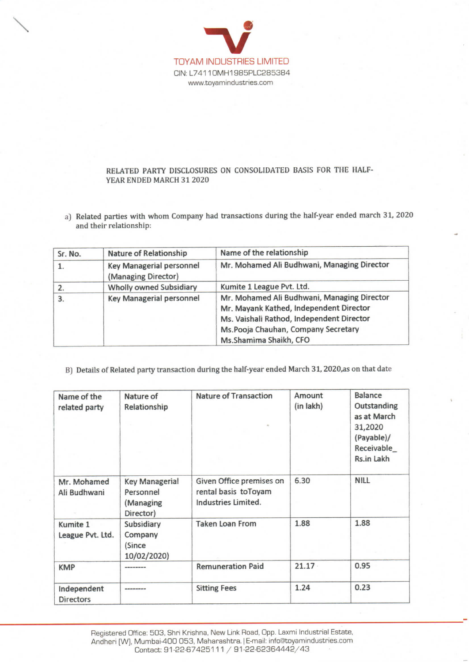

 $\overline{\phantom{a}}$ 

## RELATED PARTY DISCLOSURES ON CONSOLIDATED BASIS FOR THE HALF-YEAR ENDED MARCH 312020

a) Related parties with whom Company had transactions during the half-year ended march 31, 2020 and their relationship:

| Sr. No. | <b>Nature of Relationship</b>                   | Name of the relationship<br>Mr. Mohamed Ali Budhwani, Managing Director                                                                                                                              |  |  |
|---------|-------------------------------------------------|------------------------------------------------------------------------------------------------------------------------------------------------------------------------------------------------------|--|--|
| 1.      | Key Managerial personnel<br>(Managing Director) |                                                                                                                                                                                                      |  |  |
| 2.      | <b>Wholly owned Subsidiary</b>                  | Kumite 1 League Pvt. Ltd.                                                                                                                                                                            |  |  |
| 3.      | <b>Key Managerial personnel</b>                 | Mr. Mohamed Ali Budhwani, Managing Director<br>Mr. Mayank Kathed, Independent Director<br>Ms. Vaishali Rathod, Independent Director<br>Ms.Pooja Chauhan, Company Secretary<br>Ms.Shamima Shaikh, CFO |  |  |

B) Details of Related party transaction during the half-year ended March 31, 2020, as on that date

| Name of the<br>related party    | Nature of<br>Relationship                                    | <b>Nature of Transaction</b>                                            | Amount<br>(in lakh) | Balance<br>Outstanding<br>as at March<br>31,2020<br>(Payable)/<br>Receivable_<br>Rs.in Lakh |
|---------------------------------|--------------------------------------------------------------|-------------------------------------------------------------------------|---------------------|---------------------------------------------------------------------------------------------|
| Mr. Mohamed<br>Ali Budhwani     | <b>Key Managerial</b><br>Personnel<br>(Managing<br>Director) | Given Office premises on<br>rental basis toToyam<br>Industries Limited. | 6.30                | <b>NILL</b>                                                                                 |
| Kumite 1<br>League Pvt. Ltd.    | Subsidiary<br>Company<br>(Since<br>10/02/2020)               | <b>Taken Loan From</b>                                                  | 1.88                | 1.88                                                                                        |
| <b>KMP</b>                      | ---------                                                    | <b>Remuneration Paid</b>                                                | 21.17               | 0.95                                                                                        |
| Independent<br><b>Directors</b> | -----------                                                  | <b>Sitting Fees</b>                                                     | 1.24                | 0.23                                                                                        |